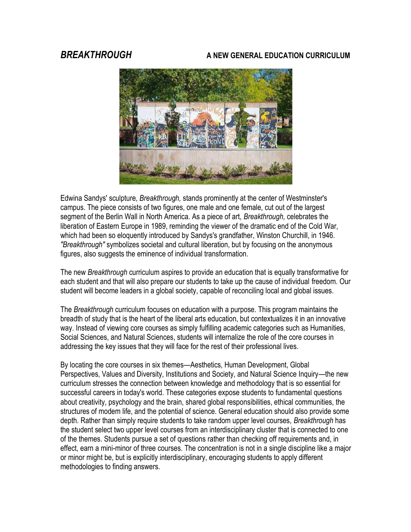#### *BREAKTHROUGH* **A NEW GENERAL EDUCATION CURRICULUM**



Edwina Sandys' sculpture, *Breakthrough,* stands prominently at the center of Westminster's campus. The piece consists of two figures, one male and one female, cut out of the largest segment of the Berlin Wall in North America. As a piece of art, *Breakthrough,* celebrates the liberation of Eastern Europe in 1989, reminding the viewer of the dramatic end of the Cold War, which had been so eloquently introduced by Sandys's grandfather, Winston Churchill, in 1946. *"Breakthrough"* symbolizes societal and cultural liberation, but by focusing on the anonymous figures, also suggests the eminence of individual transformation.

The new *Breakthrough* curriculum aspires to provide an education that is equally transformative for each student and that will also prepare our students to take up the cause of individual freedom. Our student will become leaders in a global society, capable of reconciling local and global issues.

The *Breakthrough* curriculum focuses on education with a purpose. This program maintains the breadth of study that is the heart of the liberal arts education, but contextualizes it in an innovative way. Instead of viewing core courses as simply fulfilling academic categories such as Humanities, Social Sciences, and Natural Sciences, students will internalize the role of the core courses in addressing the key issues that they will face for the rest of their professional lives.

By locating the core courses in six themes—Aesthetics, Human Development, Global Perspectives, Values and Diversity, Institutions and Society, and Natural Science Inquiry—the new curriculum stresses the connection between knowledge and methodology that is so essential for successful careers in today's world. These categories expose students to fundamental questions about creativity, psychology and the brain, shared global responsibilities, ethical communities, the structures of modem life, and the potential of science. General education should also provide some depth. Rather than simply require students to take random upper level courses, *Breakthrough* has the student select two upper level courses from an interdisciplinary cluster that is connected to one of the themes. Students pursue a set of questions rather than checking off requirements and, in effect, earn a mini-minor of three courses. The concentration is not in a single discipline like a major or minor might be, but is explicitly interdisciplinary, encouraging students to apply different methodologies to finding answers.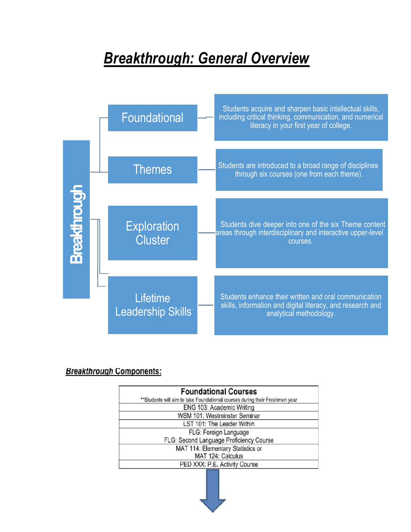# *Breakthrough: General Overview*



#### **Breakthrough Components:**

| <b>Foundational Courses</b>                                                 |
|-----------------------------------------------------------------------------|
| **Students will aim to take Foundational courses during their Freshmen year |
| ENG 103: Academic Writing                                                   |
| WSM 101: Westminster Seminar                                                |
| LST 101: The Leader Within                                                  |
| FLG: Foreign Language                                                       |
| FLG: Second Language Proficiency Course                                     |
| MAT 114: Elementary Statistics or                                           |
| MAT 124: Calculus                                                           |
| PED XXX: P.E. Activity Course                                               |
|                                                                             |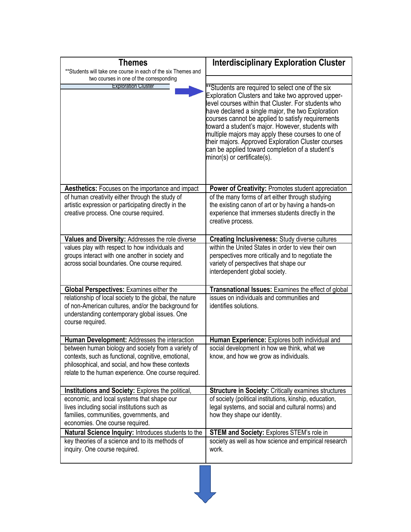| <b>Themes</b><br>** Students will take one course in each of the six Themes and                                                                                                                                         | <b>Interdisciplinary Exploration Cluster</b>                                                                                                                                                                                                                                                                                                                                                                                                                                                                            |
|-------------------------------------------------------------------------------------------------------------------------------------------------------------------------------------------------------------------------|-------------------------------------------------------------------------------------------------------------------------------------------------------------------------------------------------------------------------------------------------------------------------------------------------------------------------------------------------------------------------------------------------------------------------------------------------------------------------------------------------------------------------|
| two courses in one of the corresponding                                                                                                                                                                                 |                                                                                                                                                                                                                                                                                                                                                                                                                                                                                                                         |
| <b>Exploration Cluster</b>                                                                                                                                                                                              | **Students are required to select one of the six<br>Exploration Clusters and take two approved upper-<br>level courses within that Cluster. For students who<br>have declared a single major, the two Exploration<br>courses cannot be applied to satisfy requirements<br>toward a student's major. However, students with<br>multiple majors may apply these courses to one of<br>their majors. Approved Exploration Cluster courses<br>can be applied toward completion of a student's<br>minor(s) or certificate(s). |
| <b>Aesthetics:</b> Focuses on the importance and impact                                                                                                                                                                 | <b>Power of Creativity: Promotes student appreciation</b>                                                                                                                                                                                                                                                                                                                                                                                                                                                               |
| of human creativity either through the study of<br>artistic expression or participating directly in the<br>creative process. One course required.                                                                       | of the many forms of art either through studying<br>the existing canon of art or by having a hands-on<br>experience that immerses students directly in the<br>creative process.                                                                                                                                                                                                                                                                                                                                         |
| Values and Diversity: Addresses the role diverse                                                                                                                                                                        | <b>Creating Inclusiveness: Study diverse cultures</b>                                                                                                                                                                                                                                                                                                                                                                                                                                                                   |
| values play with respect to how individuals and<br>groups interact with one another in society and<br>across social boundaries. One course required.                                                                    | within the United States in order to view their own<br>perspectives more critically and to negotiate the<br>variety of perspectives that shape our<br>interdependent global society.                                                                                                                                                                                                                                                                                                                                    |
| <b>Global Perspectives: Examines either the</b>                                                                                                                                                                         | Transnational Issues: Examines the effect of global                                                                                                                                                                                                                                                                                                                                                                                                                                                                     |
| relationship of local society to the global, the nature<br>of non-American cultures, and/or the background for<br>understanding contemporary global issues. One<br>course required.                                     | issues on individuals and communities and<br>identifies solutions.                                                                                                                                                                                                                                                                                                                                                                                                                                                      |
| Human Development: Addresses the interaction                                                                                                                                                                            | <b>Human Experience:</b> Explores both individual and                                                                                                                                                                                                                                                                                                                                                                                                                                                                   |
| between human biology and society from a variety of<br>contexts, such as functional, cognitive, emotional,<br>philosophical, and social, and how these contexts<br>relate to the human experience. One course required. | social development in how we think, what we<br>know, and how we grow as individuals.                                                                                                                                                                                                                                                                                                                                                                                                                                    |
| <b>Institutions and Society: Explores the political,</b>                                                                                                                                                                | <b>Structure in Society: Critically examines structures</b>                                                                                                                                                                                                                                                                                                                                                                                                                                                             |
| economic, and local systems that shape our<br>lives including social institutions such as<br>families, communities, governments, and<br>economies. One course required.                                                 | of society (political institutions, kinship, education,<br>legal systems, and social and cultural norms) and<br>how they shape our identity.                                                                                                                                                                                                                                                                                                                                                                            |
| Natural Science Inquiry: Introduces students to the                                                                                                                                                                     | <b>STEM and Society: Explores STEM's role in</b>                                                                                                                                                                                                                                                                                                                                                                                                                                                                        |
| key theories of a science and to its methods of<br>inquiry. One course required.                                                                                                                                        | society as well as how science and empirical research<br>work.                                                                                                                                                                                                                                                                                                                                                                                                                                                          |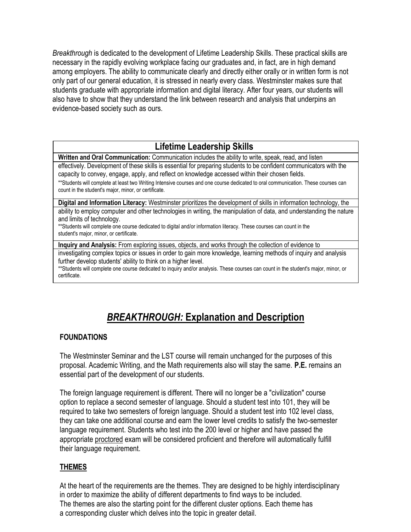*Breakthrough* is dedicated to the development of Lifetime Leadership Skills. These practical skills are necessary in the rapidly evolving workplace facing our graduates and, in fact, are in high demand among employers. The ability to communicate clearly and directly either orally or in written form is not only part of our general education, it is stressed in nearly every class. Westminster makes sure that students graduate with appropriate information and digital literacy. After four years, our students will also have to show that they understand the link between research and analysis that underpins an evidence-based society such as ours.

### **Lifetime Leadership Skills**

**Written and Oral Communication:** Communication includes the ability to write, speak, read, and listen

effectively. Development of these skills is essential for preparing students to be confident communicators with the capacity to convey, engage, apply, and reflect on knowledge accessed within their chosen fields.

\*\*Students will complete at least two Writing Intensive courses and one course dedicated to oral communication. These courses can count in the student's major, minor, or certificate.

**Digital and Information Literacy:** Westminster prioritizes the development of skills in information technology, the ability to employ computer and other technologies in writing, the manipulation of data, and understanding the nature and limits of technology.

\*\*Students will complete one course dedicated to digital and/or information literacy. These courses can count in the student's major, minor, or certificate.

**Inquiry and Analysis:** From exploring issues, objects, and works through the collection of evidence to

investigating complex topics or issues in order to gain more knowledge, learning methods of inquiry and analysis further develop students' ability to think on a higher level.

\*\*Students will complete one course dedicated to inquiry and/or analysis. These courses can count in the student's major, minor, or certificate.

## *BREAKTHROUGH:* **Explanation and Description**

#### **FOUNDATIONS**

The Westminster Seminar and the LST course will remain unchanged for the purposes of this proposal. Academic Writing, and the Math requirements also will stay the same. **P.E.** remains an essential part of the development of our students.

The foreign language requirement is different. There will no longer be a "civilization" course option to replace a second semester of language. Should a student test into 101, they will be required to take two semesters of foreign language. Should a student test into 102 level class, they can take one additional course and earn the lower level credits to satisfy the two-semester language requirement. Students who test into the 200 level or higher and have passed the appropriate proctored exam will be considered proficient and therefore will automatically fulfill their language requirement.

#### **THEMES**

At the heart of the requirements are the themes. They are designed to be highly interdisciplinary in order to maximize the ability of different departments to find ways to be included. The themes are also the starting point for the different cluster options. Each theme has a corresponding cluster which delves into the topic in greater detail.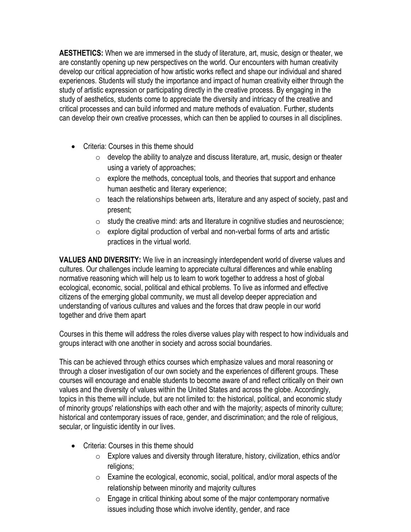**AESTHETICS:** When we are immersed in the study of literature, art, music, design or theater, we are constantly opening up new perspectives on the world. Our encounters with human creativity develop our critical appreciation of how artistic works reflect and shape our individual and shared experiences. Students will study the importance and impact of human creativity either through the study of artistic expression or participating directly in the creative process. By engaging in the study of aesthetics, students come to appreciate the diversity and intricacy of the creative and critical processes and can build informed and mature methods of evaluation. Further, students can develop their own creative processes, which can then be applied to courses in all disciplines.

- Criteria: Courses in this theme should
	- $\circ$  develop the ability to analyze and discuss literature, art, music, design or theater using a variety of approaches;
	- $\circ$  explore the methods, conceptual tools, and theories that support and enhance human aesthetic and literary experience;
	- $\circ$  teach the relationships between arts, literature and any aspect of society, past and present;
	- $\circ$  study the creative mind: arts and literature in cognitive studies and neuroscience;
	- $\circ$  explore digital production of verbal and non-verbal forms of arts and artistic practices in the virtual world.

**VALUES AND DIVERSITY:** We live in an increasingly interdependent world of diverse values and cultures. Our challenges include learning to appreciate cultural differences and while enabling normative reasoning which will help us to learn to work together to address a host of global ecological, economic, social, political and ethical problems. To live as informed and effective citizens of the emerging global community, we must all develop deeper appreciation and understanding of various cultures and values and the forces that draw people in our world together and drive them apart

Courses in this theme will address the roles diverse values play with respect to how individuals and groups interact with one another in society and across social boundaries.

This can be achieved through ethics courses which emphasize values and moral reasoning or through a closer investigation of our own society and the experiences of different groups. These courses will encourage and enable students to become aware of and reflect critically on their own values and the diversity of values within the United States and across the globe. Accordingly, topics in this theme will include, but are not limited to: the historical, political, and economic study of minority groups' relationships with each other and with the majority; aspects of minority culture; historical and contemporary issues of race, gender, and discrimination; and the role of religious, secular, or linguistic identity in our lives.

- Criteria: Courses in this theme should
	- $\circ$  Explore values and diversity through literature, history, civilization, ethics and/or religions;
	- $\circ$  Examine the ecological, economic, social, political, and/or moral aspects of the relationship between minority and majority cultures
	- $\circ$  Engage in critical thinking about some of the major contemporary normative issues including those which involve identity, gender, and race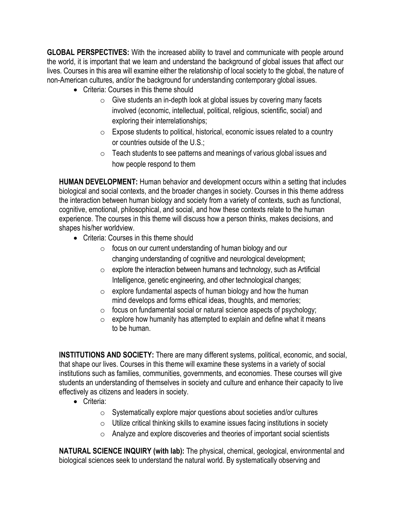**GLOBAL PERSPECTIVES:** With the increased ability to travel and communicate with people around the world, it is important that we learn and understand the background of global issues that affect our lives. Courses in this area will examine either the relationship of local society to the global, the nature of non-American cultures, and/or the background for understanding contemporary global issues.

- Criteria: Courses in this theme should
	- $\circ$  Give students an in-depth look at global issues by covering many facets involved (economic, intellectual, political, religious, scientific, social) and exploring their interrelationships;
	- $\circ$  Expose students to political, historical, economic issues related to a country or countries outside of the U.S.;
	- o Teach students to see patterns and meanings of various global issues and how people respond to them

**HUMAN DEVELOPMENT:** Human behavior and development occurs within a setting that includes biological and social contexts, and the broader changes in society. Courses in this theme address the interaction between human biology and society from a variety of contexts, such as functional, cognitive, emotional, philosophical, and social, and how these contexts relate to the human experience. The courses in this theme will discuss how a person thinks, makes decisions, and shapes his/her worldview.

- Criteria: Courses in this theme should
	- o focus on our current understanding of human biology and our changing understanding of cognitive and neurological development;
	- $\circ$  explore the interaction between humans and technology, such as Artificial Intelligence, genetic engineering, and other technological changes;
	- $\circ$  explore fundamental aspects of human biology and how the human mind develops and forms ethical ideas, thoughts, and memories;
	- o focus on fundamental social or natural science aspects of psychology;
	- $\circ$  explore how humanity has attempted to explain and define what it means to be human.

**INSTITUTIONS AND SOCIETY:** There are many different systems, political, economic, and social, that shape our lives. Courses in this theme will examine these systems in a variety of social institutions such as families, communities, governments, and economies. These courses will give students an understanding of themselves in society and culture and enhance their capacity to live effectively as citizens and leaders in society.

- Criteria:
	- o Systematically explore major questions about societies and/or cultures
	- $\circ$  Utilize critical thinking skills to examine issues facing institutions in society
	- o Analyze and explore discoveries and theories of important social scientists

**NATURAL SCIENCE INQUIRY (with lab):** The physical, chemical, geological, environmental and biological sciences seek to understand the natural world. By systematically observing and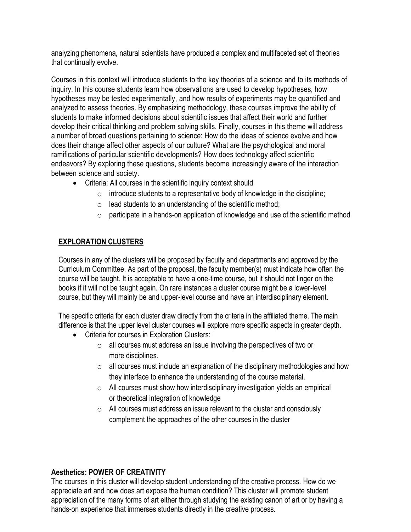analyzing phenomena, natural scientists have produced a complex and multifaceted set of theories that continually evolve.

Courses in this context will introduce students to the key theories of a science and to its methods of inquiry. In this course students learn how observations are used to develop hypotheses, how hypotheses may be tested experimentally, and how results of experiments may be quantified and analyzed to assess theories. By emphasizing methodology, these courses improve the ability of students to make informed decisions about scientific issues that affect their world and further develop their critical thinking and problem solving skills. Finally, courses in this theme will address a number of broad questions pertaining to science: How do the ideas of science evolve and how does their change affect other aspects of our culture? What are the psychological and moral ramifications of particular scientific developments? How does technology affect scientific endeavors? By exploring these questions, students become increasingly aware of the interaction between science and society.

- Criteria: All courses in the scientific inquiry context should
	- $\circ$  introduce students to a representative body of knowledge in the discipline;
	- $\circ$  lead students to an understanding of the scientific method;
	- $\circ$  participate in a hands-on application of knowledge and use of the scientific method

#### **EXPLORATION CLUSTERS**

Courses in any of the clusters will be proposed by faculty and departments and approved by the Curriculum Committee. As part of the proposal, the faculty member(s) must indicate how often the course will be taught. It is acceptable to have a one-time course, but it should not linger on the books if it will not be taught again. On rare instances a cluster course might be a lower-level course, but they will mainly be and upper-level course and have an interdisciplinary element.

The specific criteria for each cluster draw directly from the criteria in the affiliated theme. The main difference is that the upper level cluster courses will explore more specific aspects in greater depth.

- Criteria for courses in Exploration Clusters:
	- o all courses must address an issue involving the perspectives of two or more disciplines.
	- $\circ$  all courses must include an explanation of the disciplinary methodologies and how they interface to enhance the understanding of the course material.
	- $\circ$  All courses must show how interdisciplinary investigation yields an empirical or theoretical integration of knowledge
	- $\circ$  All courses must address an issue relevant to the cluster and consciously complement the approaches of the other courses in the cluster

#### **Aesthetics: POWER OF CREATIVITY**

The courses in this cluster will develop student understanding of the creative process. How do we appreciate art and how does art expose the human condition? This cluster will promote student appreciation of the many forms of art either through studying the existing canon of art or by having a hands-on experience that immerses students directly in the creative process.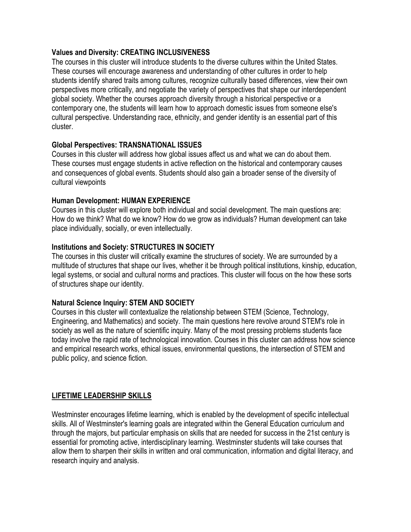#### **Values and Diversity: CREATING INCLUSIVENESS**

The courses in this cluster will introduce students to the diverse cultures within the United States. These courses will encourage awareness and understanding of other cultures in order to help students identify shared traits among cultures, recognize culturally based differences, view their own perspectives more critically, and negotiate the variety of perspectives that shape our interdependent global society. Whether the courses approach diversity through a historical perspective or a contemporary one, the students will learn how to approach domestic issues from someone else's cultural perspective. Understanding race, ethnicity, and gender identity is an essential part of this cluster.

#### **Global Perspectives: TRANSNATIONAL ISSUES**

Courses in this cluster will address how global issues affect us and what we can do about them. These courses must engage students in active reflection on the historical and contemporary causes and consequences of global events. Students should also gain a broader sense of the diversity of cultural viewpoints

#### **Human Development: HUMAN EXPERIENCE**

Courses in this cluster will explore both individual and social development. The main questions are: How do we think? What do we know? How do we grow as individuals? Human development can take place individually, socially, or even intellectually.

#### **Institutions and Society: STRUCTURES IN SOCIETY**

The courses in this cluster will critically examine the structures of society. We are surrounded by a multitude of structures that shape our lives, whether it be through political institutions, kinship, education, legal systems, or social and cultural norms and practices. This cluster will focus on the how these sorts of structures shape our identity.

#### **Natural Science Inquiry: STEM AND SOCIETY**

Courses in this cluster will contextualize the relationship between STEM (Science, Technology, Engineering, and Mathematics) and society. The main questions here revolve around STEM's role in society as well as the nature of scientific inquiry. Many of the most pressing problems students face today involve the rapid rate of technological innovation. Courses in this cluster can address how science and empirical research works, ethical issues, environmental questions, the intersection of STEM and public policy, and science fiction.

#### **LIFETIME LEADERSHIP SKILLS**

Westminster encourages lifetime learning, which is enabled by the development of specific intellectual skills. All of Westminster's learning goals are integrated within the General Education curriculum and through the majors, but particular emphasis on skills that are needed for success in the 21st century is essential for promoting active, interdisciplinary learning. Westminster students will take courses that allow them to sharpen their skills in written and oral communication, information and digital literacy, and research inquiry and analysis.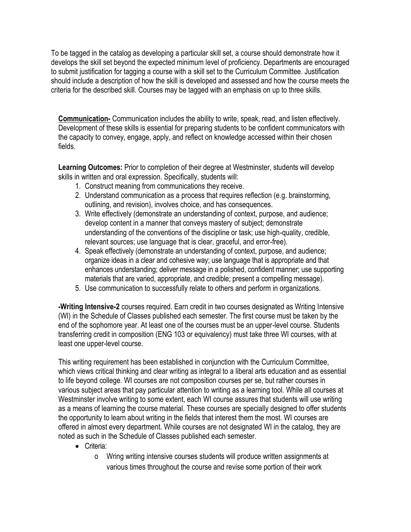To be tagged in the catalog as developing a particular skill set, a course should demonstrate how it develops the skill set beyond the expected minimum level of proficiency. Departments are encouraged to submit justification for tagging a course with a skill set to the Curriculum Committee. Justification should include a description of how the skill is developed and assessed and how the course meets the criteria for the described skill. Courses may be tagged with an emphasis on up to three skills.

**Communication-** Communication includes the ability to write, speak, read, and listen effectively. Development of these skills is essential for preparing students to be confident communicators with the capacity to convey, engage, apply, and reflect on knowledge accessed within their chosen fields.

**Learning Outcomes:** Prior to completion of their degree at Westminster, students will develop skills in written and oral expression. Specifically, students will:

- 1. Construct meaning from communications they receive.
- 2. Understand communication as a process that requires reflection (e.g. brainstorming, outlining, and revision), involves choice, and has consequences.
- 3. Write effectively (demonstrate an understanding of context, purpose, and audience; develop content in a manner that conveys mastery of subject; demonstrate understanding of the conventions of the discipline or task; use high-quality, credible, relevant sources; use language that is clear, graceful, and error-free).
- 4. Speak effectively (demonstrate an understanding of context, purpose, and audience; organize ideas in a clear and cohesive way; use language that is appropriate and that enhances understanding; deliver message in a polished, confident manner; use supporting materials that are varied, appropriate, and credible; present a compelling message).
- 5. Use communication to successfully relate to others and perform in organizations.

**-Writing Intensive-2** courses required. Earn credit in two courses designated as Writing Intensive (WI) in the Schedule of Classes published each semester. The first course must be taken by the end of the sophomore year. At least one of the courses must be an upper-level course. Students transferring credit in composition (ENG 103 or equivalency) must take three WI courses, with at least one upper-level course.

This writing requirement has been established in conjunction with the Curriculum Committee, which views critical thinking and clear writing as integral to a liberal arts education and as essential to life beyond college. WI courses are not composition courses per se, but rather courses in various subject areas that pay particular attention to writing as a learning tool. While all courses at Westminster involve writing to some extent, each WI course assures that students will use writing as a means of learning the course material. These courses are specially designed to offer students the opportunity to learn about writing in the fields that interest them the most. WI courses are offered in almost every department. While courses are not designated WI in the catalog, they are noted as such in the Schedule of Classes published each semester.

- Criteria:
	- o Wring writing intensive courses students will produce written assignments at various times throughout the course and revise some portion of their work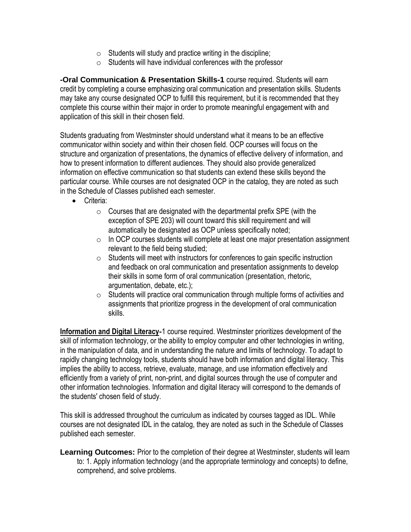- $\circ$  Students will study and practice writing in the discipline;
- $\circ$  Students will have individual conferences with the professor

**-Oral Communication & Presentation Skills-1** course required. Students will earn credit by completing a course emphasizing oral communication and presentation skills. Students may take any course designated OCP to fulfill this requirement, but it is recommended that they complete this course within their major in order to promote meaningful engagement with and application of this skill in their chosen field.

Students graduating from Westminster should understand what it means to be an effective communicator within society and within their chosen field. OCP courses will focus on the structure and organization of presentations, the dynamics of effective delivery of information, and how to present information to different audiences. They should also provide generalized information on effective communication so that students can extend these skills beyond the particular course. While courses are not designated OCP in the catalog, they are noted as such in the Schedule of Classes published each semester.

- Criteria:
	- $\circ$  Courses that are designated with the departmental prefix SPE (with the exception of SPE 203) will count toward this skill requirement and will automatically be designated as OCP unless specifically noted;
	- $\circ$  In OCP courses students will complete at least one major presentation assignment relevant to the field being studied;
	- $\circ$  Students will meet with instructors for conferences to gain specific instruction and feedback on oral communication and presentation assignments to develop their skills in some form of oral communication (presentation, rhetoric, argumentation, debate, etc.);
	- o Students will practice oral communication through multiple forms of activities and assignments that prioritize progress in the development of oral communication skills.

**Information and Digital Literacy-**1 course required. Westminster prioritizes development of the skill of information technology, or the ability to employ computer and other technologies in writing, in the manipulation of data, and in understanding the nature and limits of technology. To adapt to rapidly changing technology tools, students should have both information and digital literacy. This implies the ability to access, retrieve, evaluate, manage, and use information effectively and efficiently from a variety of print, non-print, and digital sources through the use of computer and other information technologies. Information and digital literacy will correspond to the demands of the students' chosen field of study.

This skill is addressed throughout the curriculum as indicated by courses tagged as IDL. While courses are not designated IDL in the catalog, they are noted as such in the Schedule of Classes published each semester.

**Learning Outcomes:** Prior to the completion of their degree at Westminster, students will learn to: 1. Apply information technology (and the appropriate terminology and concepts) to define, comprehend, and solve problems.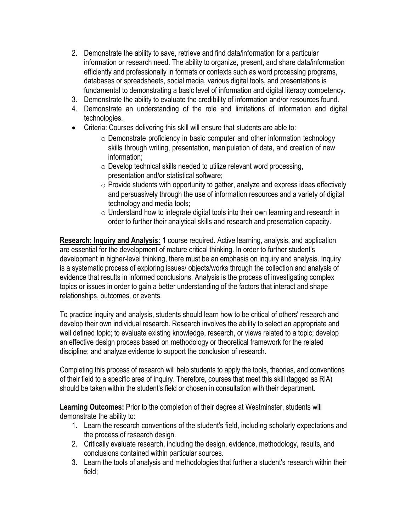- 2. Demonstrate the ability to save, retrieve and find data/information for a particular information or research need. The ability to organize, present, and share data/information efficiently and professionally in formats or contexts such as word processing programs, databases or spreadsheets, social media, various digital tools, and presentations is fundamental to demonstrating a basic level of information and digital literacy competency.
- 3. Demonstrate the ability to evaluate the credibility of information and/or resources found.
- 4. Demonstrate an understanding of the role and limitations of information and digital technologies.
- Criteria: Courses delivering this skill will ensure that students are able to:
	- $\circ$  Demonstrate proficiency in basic computer and other information technology skills through writing, presentation, manipulation of data, and creation of new information;
	- o Develop technical skills needed to utilize relevant word processing, presentation and/or statistical software;
	- o Provide students with opportunity to gather, analyze and express ideas effectively and persuasively through the use of information resources and a variety of digital technology and media tools;
	- o Understand how to integrate digital tools into their own learning and research in order to further their analytical skills and research and presentation capacity.

**Research: Inquiry and Analysis:** 1 course required. Active learning, analysis, and application are essential for the development of mature critical thinking. In order to further student's development in higher-level thinking, there must be an emphasis on inquiry and analysis. Inquiry is a systematic process of exploring issues/ objects/works through the collection and analysis of evidence that results in informed conclusions. Analysis is the process of investigating complex topics or issues in order to gain a better understanding of the factors that interact and shape relationships, outcomes, or events.

To practice inquiry and analysis, students should learn how to be critical of others' research and develop their own individual research. Research involves the ability to select an appropriate and well defined topic; to evaluate existing knowledge, research, or views related to a topic; develop an effective design process based on methodology or theoretical framework for the related discipline; and analyze evidence to support the conclusion of research.

Completing this process of research will help students to apply the tools, theories, and conventions of their field to a specific area of inquiry. Therefore, courses that meet this skill (tagged as RIA) should be taken within the student's field or chosen in consultation with their department.

**Learning Outcomes:** Prior to the completion of their degree at Westminster, students will demonstrate the ability to:

- 1. Learn the research conventions of the student's field, including scholarly expectations and the process of research design.
- 2. Critically evaluate research, including the design, evidence, methodology, results, and conclusions contained within particular sources.
- 3. Learn the tools of analysis and methodologies that further a student's research within their field;